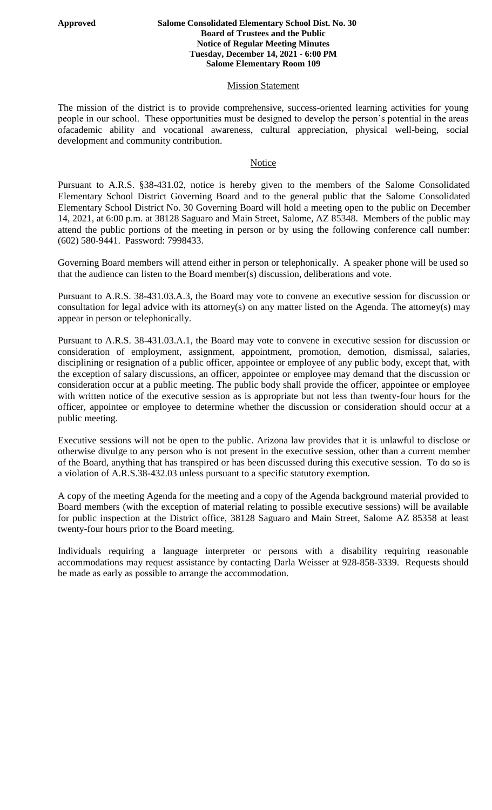#### **Approved Salome Consolidated Elementary School Dist. No. 30 Board of Trustees and the Public Notice of Regular Meeting Minutes Tuesday, December 14, 2021 - 6:00 PM Salome Elementary Room 109**

### **Mission Statement**

The mission of the district is to provide comprehensive, success-oriented learning activities for young people in our school. These opportunities must be designed to develop the person's potential in the areas ofacademic ability and vocational awareness, cultural appreciation, physical well-being, social development and community contribution.

### Notice

Pursuant to A.R.S. §38-431.02, notice is hereby given to the members of the Salome Consolidated Elementary School District Governing Board and to the general public that the Salome Consolidated Elementary School District No. 30 Governing Board will hold a meeting open to the public on December 14, 2021, at 6:00 p.m. at 38128 Saguaro and Main Street, Salome, AZ 85348. Members of the public may attend the public portions of the meeting in person or by using the following conference call number: (602) 580-9441. Password: 7998433.

Governing Board members will attend either in person or telephonically. A speaker phone will be used so that the audience can listen to the Board member(s) discussion, deliberations and vote.

Pursuant to A.R.S. 38-431.03.A.3, the Board may vote to convene an executive session for discussion or consultation for legal advice with its attorney(s) on any matter listed on the Agenda. The attorney(s) may appear in person or telephonically.

Pursuant to A.R.S. 38-431.03.A.1, the Board may vote to convene in executive session for discussion or consideration of employment, assignment, appointment, promotion, demotion, dismissal, salaries, disciplining or resignation of a public officer, appointee or employee of any public body, except that, with the exception of salary discussions, an officer, appointee or employee may demand that the discussion or consideration occur at a public meeting. The public body shall provide the officer, appointee or employee with written notice of the executive session as is appropriate but not less than twenty-four hours for the officer, appointee or employee to determine whether the discussion or consideration should occur at a public meeting.

Executive sessions will not be open to the public. Arizona law provides that it is unlawful to disclose or otherwise divulge to any person who is not present in the executive session, other than a current member of the Board, anything that has transpired or has been discussed during this executive session. To do so is a violation of A.R.S.38-432.03 unless pursuant to a specific statutory exemption.

A copy of the meeting Agenda for the meeting and a copy of the Agenda background material provided to Board members (with the exception of material relating to possible executive sessions) will be available for public inspection at the District office, 38128 Saguaro and Main Street, Salome AZ 85358 at least twenty-four hours prior to the Board meeting.

Individuals requiring a language interpreter or persons with a disability requiring reasonable accommodations may request assistance by contacting Darla Weisser at 928-858-3339. Requests should be made as early as possible to arrange the accommodation.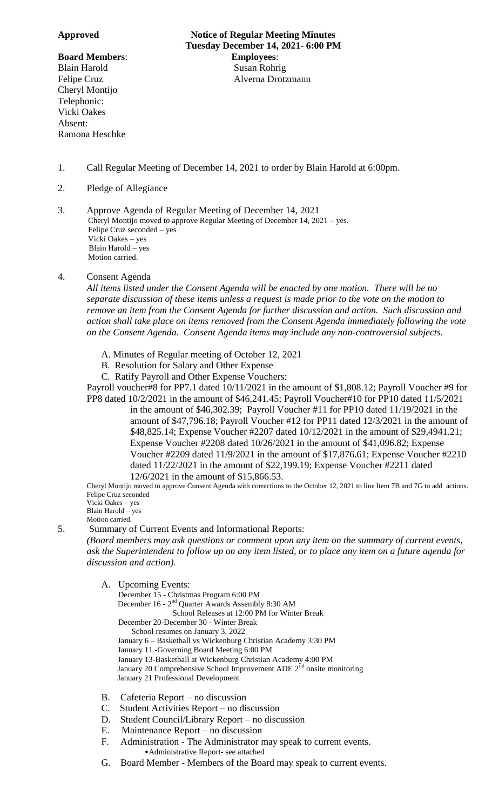Cheryl Montijo Telephonic: Vicki Oakes Absent: Ramona Heschke

**Approved Notice of Regular Meeting Minutes Tuesday December 14, 2021- 6:00 PM Board Members**: **Employees**: Blain Harold Susan Rohrig Felipe Cruz **Alverna Drotzmann** 

- 1. Call Regular Meeting of December 14, 2021 to order by Blain Harold at 6:00pm.
- 2. Pledge of Allegiance

3. Approve Agenda of Regular Meeting of December 14, 2021 Cheryl Montijo moved to approve Regular Meeting of December 14, 2021 – yes. Felipe Cruz seconded – yes Vicki Oakes – yes Blain Harold – yes Motion carried.

# 4. Consent Agenda

*All items listed under the Consent Agenda will be enacted by one motion. There will be no separate discussion of these items unless a request is made prior to the vote on the motion to remove an item from the Consent Agenda for further discussion and action. Such discussion and action shall take place on items removed from the Consent Agenda immediately following the vote on the Consent Agenda. Consent Agenda items may include any non-controversial subjects.*

- A. Minutes of Regular meeting of October 12, 2021
- B. Resolution for Salary and Other Expense
- C. Ratify Payroll and Other Expense Vouchers:

Payroll voucher#8 for PP7.1 dated 10/11/2021 in the amount of \$1,808.12; Payroll Voucher #9 for PP8 dated 10/2/2021 in the amount of \$46,241.45; Payroll Voucher#10 for PP10 dated 11/5/2021

in the amount of \$46,302.39; Payroll Voucher #11 for PP10 dated 11/19/2021 in the amount of \$47,796.18; Payroll Voucher #12 for PP11 dated 12/3/2021 in the amount of \$48,825.14; Expense Voucher #2207 dated 10/12/2021 in the amount of \$29,4941.21; Expense Voucher #2208 dated 10/26/2021 in the amount of \$41,096.82; Expense Voucher #2209 dated 11/9/2021 in the amount of \$17,876.61; Expense Voucher #2210 dated 11/22/2021 in the amount of \$22,199.19; Expense Voucher #2211 dated 12/6/2021 in the amount of \$15,866.53.

Cheryl Montijo moved to approve Consent Agenda with corrections to the October 12, 2021 to line Item 7B and 7G to add actions. Felipe Cruz seconded Vicki Oakes – yes

Blain Harold – yes

Motion carried.

5. Summary of Current Events and Informational Reports:

*(Board members may ask questions or comment upon any item on the summary of current events, ask the Superintendent to follow up on any item listed, or to place any item on a future agenda for discussion and action).*

A. Upcoming Events:

December 15 - Christmas Program 6:00 PM

December 16 - 2<sup>nd</sup> Quarter Awards Assembly 8:30 AM

School Releases at 12:00 PM for Winter Break

- December 20-December 30 Winter Break
- School resumes on January 3, 2022
- January 6 Basketball vs Wickenburg Christian Academy 3:30 PM
- January 11 -Governing Board Meeting 6:00 PM
- January 13-Basketball at Wickenburg Christian Academy 4:00 PM
- January 20 Comprehensive School Improvement ADE  $2<sup>nd</sup>$  onsite monitoring
- January 21 Professional Development
- B. Cafeteria Report no discussion
- C. Student Activities Report no discussion
- D. Student Council/Library Report no discussion
- E. Maintenance Report no discussion
- F. Administration The Administrator may speak to current events. •Administrative Report- see attached
- G. Board Member Members of the Board may speak to current events.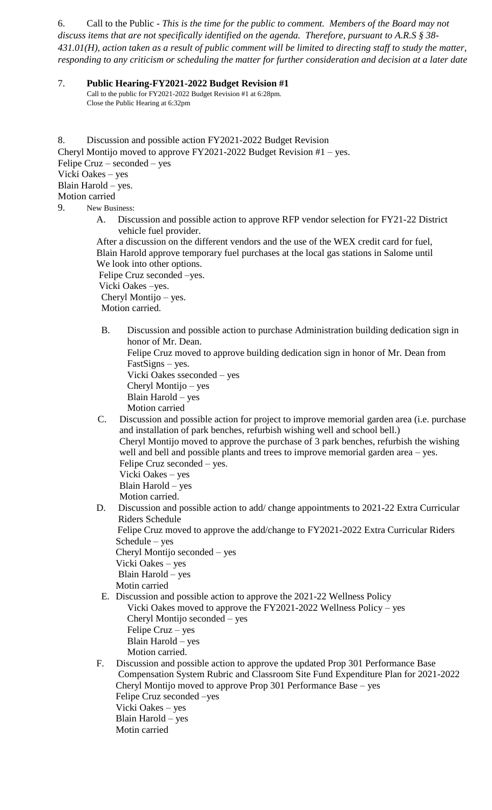6. Call to the Public - *This is the time for the public to comment. Members of the Board may not discuss items that are not specifically identified on the agenda. Therefore, pursuant to A.R.S § 38- 431.01(H), action taken as a result of public comment will be limited to directing staff to study the matter, responding to any criticism or scheduling the matter for further consideration and decision at a later date*

7. **Public Hearing-FY2021-2022 Budget Revision #1** Call to the public for FY2021-2022 Budget Revision #1 at 6:28pm. Close the Public Hearing at 6:32pm

8. Discussion and possible action FY2021-2022 Budget Revision Cheryl Montijo moved to approve FY2021-2022 Budget Revision #1 – yes. Felipe Cruz – seconded – yes Vicki Oakes – yes Blain Harold – yes. Motion carried 9. New Business:

> A. Discussion and possible action to approve RFP vendor selection for FY21-22 District vehicle fuel provider.

 After a discussion on the different vendors and the use of the WEX credit card for fuel, Blain Harold approve temporary fuel purchases at the local gas stations in Salome until We look into other options.

 Felipe Cruz seconded –yes. Vicki Oakes –yes. Cheryl Montijo – yes. Motion carried.

B. Discussion and possible action to purchase Administration building dedication sign in honor of Mr. Dean.

Felipe Cruz moved to approve building dedication sign in honor of Mr. Dean from FastSigns – yes.

Vicki Oakes sseconded – yes Cheryl Montijo – yes

Blain Harold – yes

Motion carried

C. Discussion and possible action for project to improve memorial garden area (i.e. purchase and installation of park benches, refurbish wishing well and school bell.) Cheryl Montijo moved to approve the purchase of 3 park benches, refurbish the wishing well and bell and possible plants and trees to improve memorial garden area – yes. Felipe Cruz seconded – yes. Vicki Oakes – yes Blain Harold – yes

Motion carried.

 D. Discussion and possible action to add/ change appointments to 2021-22 Extra Curricular Riders Schedule

Felipe Cruz moved to approve the add/change to FY2021-2022 Extra Curricular Riders Schedule – yes

Cheryl Montijo seconded – yes Vicki Oakes – yes

Blain Harold – yes

Motin carried

- E. Discussion and possible action to approve the 2021-22 Wellness Policy Vicki Oakes moved to approve the FY2021-2022 Wellness Policy – yes Cheryl Montijo seconded – yes Felipe Cruz – yes Blain Harold – yes Motion carried.
- F. Discussion and possible action to approve the updated Prop 301 Performance Base Compensation System Rubric and Classroom Site Fund Expenditure Plan for 2021-2022 Cheryl Montijo moved to approve Prop 301 Performance Base – yes Felipe Cruz seconded –yes Vicki Oakes – yes Blain Harold – yes Motin carried